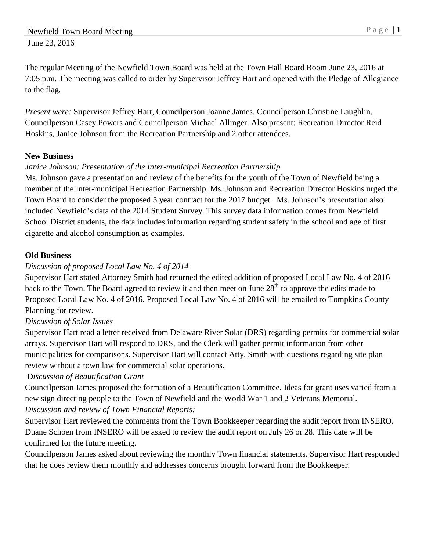The regular Meeting of the Newfield Town Board was held at the Town Hall Board Room June 23, 2016 at 7:05 p.m. The meeting was called to order by Supervisor Jeffrey Hart and opened with the Pledge of Allegiance to the flag.

*Present were:* Supervisor Jeffrey Hart, Councilperson Joanne James, Councilperson Christine Laughlin, Councilperson Casey Powers and Councilperson Michael Allinger. Also present: Recreation Director Reid Hoskins, Janice Johnson from the Recreation Partnership and 2 other attendees.

## **New Business**

# *Janice Johnson: Presentation of the Inter-municipal Recreation Partnership*

Ms. Johnson gave a presentation and review of the benefits for the youth of the Town of Newfield being a member of the Inter-municipal Recreation Partnership. Ms. Johnson and Recreation Director Hoskins urged the Town Board to consider the proposed 5 year contract for the 2017 budget. Ms. Johnson's presentation also included Newfield's data of the 2014 Student Survey. This survey data information comes from Newfield School District students, the data includes information regarding student safety in the school and age of first cigarette and alcohol consumption as examples.

## **Old Business**

# *Discussion of proposed Local Law No. 4 of 2014*

Supervisor Hart stated Attorney Smith had returned the edited addition of proposed Local Law No. 4 of 2016 back to the Town. The Board agreed to review it and then meet on June 28<sup>th</sup> to approve the edits made to Proposed Local Law No. 4 of 2016. Proposed Local Law No. 4 of 2016 will be emailed to Tompkins County Planning for review.

### *Discussion of Solar Issues*

Supervisor Hart read a letter received from Delaware River Solar (DRS) regarding permits for commercial solar arrays. Supervisor Hart will respond to DRS, and the Clerk will gather permit information from other municipalities for comparisons. Supervisor Hart will contact Atty. Smith with questions regarding site plan review without a town law for commercial solar operations.

### D*iscussion of Beautification Grant*

Councilperson James proposed the formation of a Beautification Committee. Ideas for grant uses varied from a new sign directing people to the Town of Newfield and the World War 1 and 2 Veterans Memorial. *Discussion and review of Town Financial Reports:*

Supervisor Hart reviewed the comments from the Town Bookkeeper regarding the audit report from INSERO. Duane Schoen from INSERO will be asked to review the audit report on July 26 or 28. This date will be confirmed for the future meeting.

Councilperson James asked about reviewing the monthly Town financial statements. Supervisor Hart responded that he does review them monthly and addresses concerns brought forward from the Bookkeeper.